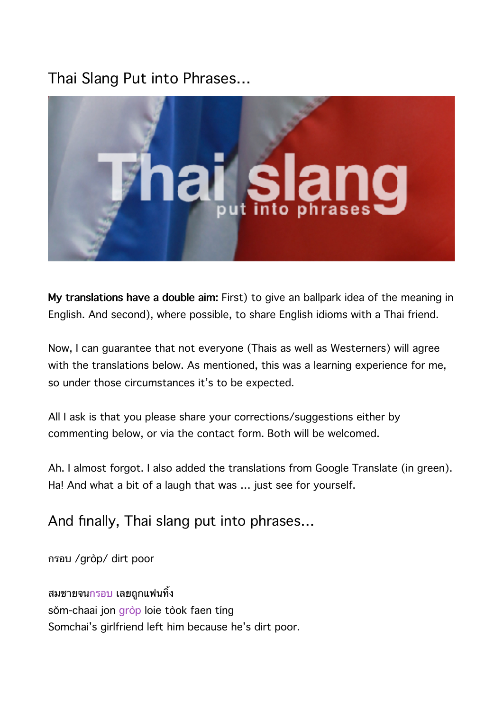# Thai Slang Put into Phrases…



**My translations have a double aim:** First) to give an ballpark idea of the meaning in English. And second), where possible, to share English idioms with a Thai friend.

Now, I can guarantee that not everyone (Thais as well as Westerners) will agree with the translations below. As mentioned, this was a learning experience for me, so under those circumstances it's to be expected.

All I ask is that you please share your corrections/suggestions either by commenting below, or via the contact form. Both will be welcomed.

Ah. I almost forgot. I also added the translations from Google Translate (in green). Ha! And what a bit of a laugh that was … just see for yourself.

# And finally, Thai slang put into phrases…

กรอบ /gròp/ dirt poor

ี่ สมชายจน<mark>กรอบ</mark> เลยถูกแฟนทิ้ง sŏm-chaai jon gròp loie tòok faen tíng Somchai's girlfriend left him because he's dirt poor.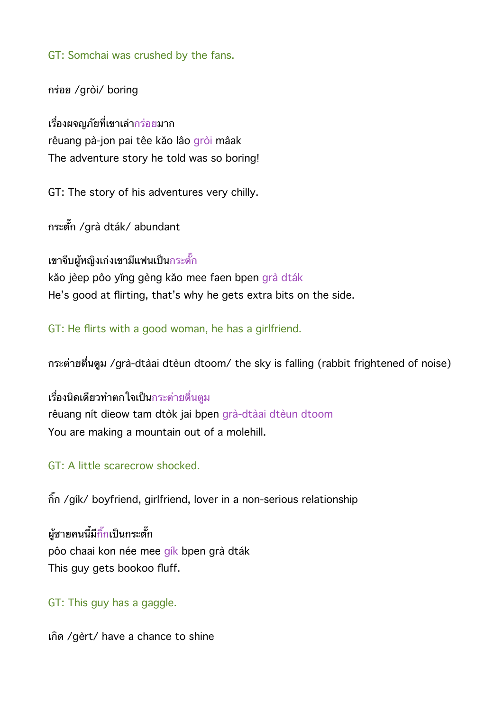GT: Somchai was crushed by the fans.

กรอย /gròi/ boring

้เรื่องผจณภัยที่เขาเล่ากร่อยมาก rêuang pà-jon pai têe kăo lâo gròi mâak The adventure story he told was so boring!

GT: The story of his adventures very chilly.

กระตก /grà dták/ abundant

ี่ เขาจีบผู้หญิงเก่งเขามีแฟนเป็นกระตั๊ก

kăo jèep pôo yĭng gèng kăo mee faen bpen grà dták He's good at flirting, that's why he gets extra bits on the side.

GT: He flirts with a good woman, he has a girlfriend.

กระตายตนตม /grà-dtàai dtèun dtoom/ the sky is falling (rabbit frightened of noise)

เรื่องนิดเดียวทำตกใจเป็นกระต่ายตื่นตม rêuang nít dieow tam dtòk jai bpen grà-dtàai dtèun dtoom You are making a mountain out of a molehill.

#### GT: A little scarecrow shocked.

กก /gík/ boyfriend, girlfriend, lover in a non-serious relationship

ผู้ชายคนนี้มีกิ๊กเป็นกระตั๊ก pôo chaai kon née mee gík bpen grà dták This guy gets bookoo fluff.

GT: This guy has a gaggle.

เกด /gèrt/ have a chance to shine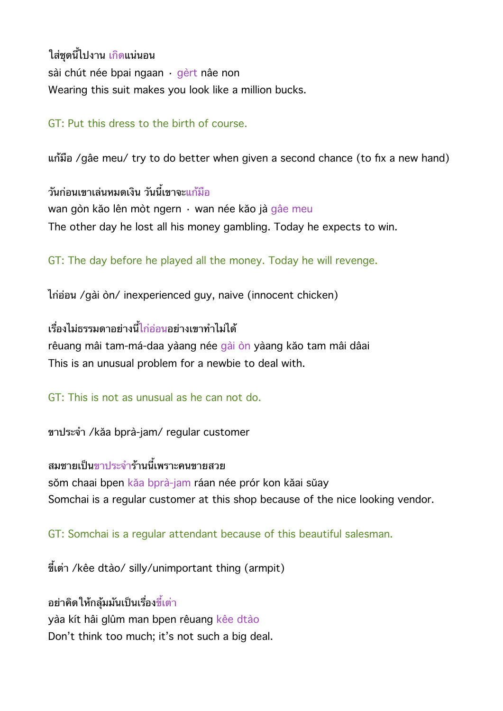้ใส่ชดนี้ไปงาน เกิดแน่นอน sài chút née bpai ngaan · gèrt nâe non Wearing this suit makes you look like a million bucks.

## GT: Put this dress to the birth of course.

uก้มือ /gâe meu/ try to do better when given a second chance (to fix a new hand)

้ว*ั*นก่อนเขาเล่นหมดเงิน วันนี้เขาจะแก้มือ wan gòn kăo lên mòt ngern · wan née kăo jà gâe meu The other day he lost all his money gambling. Today he expects to win.

GT: The day before he played all the money. Today he will revenge.

ไกออน /gài òn/ inexperienced guy, naive (innocent chicken)

เรองไมธรรมดาอยางนไกออนอยางเขาทไมได rêuang mâi tam-má-daa yàang née gài òn yàang kăo tam mâi dâai This is an unusual problem for a newbie to deal with.

GT: This is not as unusual as he can not do.

ขาประจำ /kăa bprà-jam/ regular customer

สมชายเป็นขาประจำร้านนี้เพราะคนขายสวย sŏm chaai bpen kăa bprà-jam ráan née prór kon kăai sŭay Somchai is a regular customer at this shop because of the nice looking vendor.

GT: Somchai is a regular attendant because of this beautiful salesman.

ขี้เต่า /kêe dtào/ silly/unimportant thing (armpit)

้อย่าคิดให้กลุ้มมันเป็นเรื่องขี้เต่า yàa kít hâi glûm man bpen rêuang kêe dtào Don't think too much; it's not such a big deal.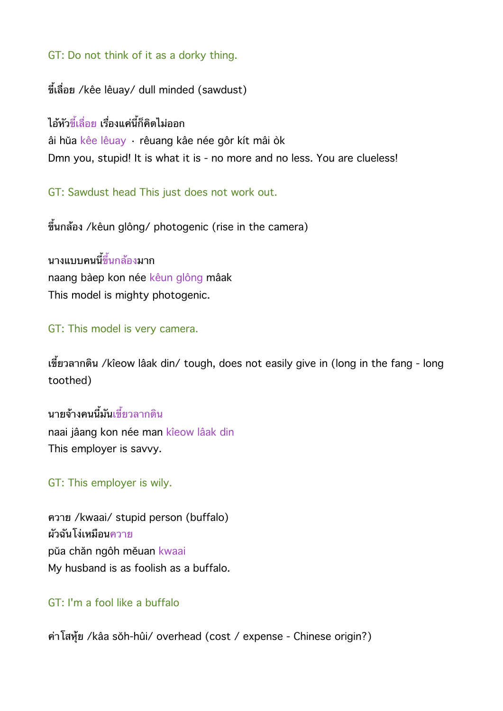## GT: Do not think of it as a dorky thing.

ขี้เลื่อย /kêe lêuay/ dull minded (sawdust)

ไอ้หัวขี้เลื่อย เรื่องแค่นี้ก็คิดไม่ออก âi hŭa kêe lêuay · rêuang kâe née gôr kít mâi òk Dmn you, stupid! It is what it is - no more and no less. You are clueless!

GT: Sawdust head This just does not work out.

ขึ้นกล้อง /kêun glông/ photogenic (rise in the camera)

ึ้นางแบบคนนี้ขึ้นกล้องมาก naang bàep kon née kêun glông mâak This model is mighty photogenic.

## GT: This model is very camera.

เขยวลากดน /kîeow lâak din/ tough, does not easily give in (long in the fang - long toothed)

บายจ้างคบบี้มับเขี้ยวลากดิบ naai jâang kon née man kîeow lâak din This employer is savvy.

GT: This employer is wily.

ควาย /kwaai/ stupid person (buffalo) ผัวฉันโง่เหมือน<u>ควาย</u> pŭa chăn ngôh mĕuan kwaai My husband is as foolish as a buffalo.

## GT: I'm a fool like a buffalo

คาโสหย /kâa sŏh-hûi/ overhead (cost / expense - Chinese origin?)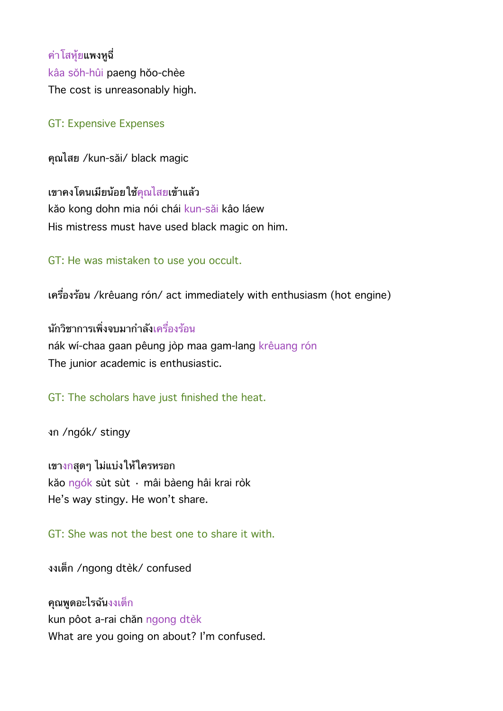คาโสหยแพงหฉ kâa sŏh-hûi paeng hŏo-chèe The cost is unreasonably high.

### GT: Expensive Expenses

คณไสย /kun-săi/ black magic

เขาคงโดนเมยนอยใชคณไสยเขาแลว kăo kong dohn mia nói chái kun-săi kâo láew His mistress must have used black magic on him.

GT: He was mistaken to use you occult.

เครื่องร้อน /krêuang rón/ act immediately with enthusiasm (hot engine)

นักวิชาการเพิ่งจบมากำลังเครื่องร้อน nák wí-chaa gaan pêung jòp maa gam-lang krêuang rón The junior academic is enthusiastic.

GT: The scholars have just finished the heat.

งก /ngók/ stingy

เขางกสดๆ ไมแบงใหใครหรอก kăo ngók sùt sùt · mâi bàeng hâi krai ròk He's way stingy. He won't share.

GT: She was not the best one to share it with.

งงเตก /ngong dtèk/ confused

คณพดอะไรฉนงงเตก kun pôot a-rai chăn ngong dtèk What are you going on about? I'm confused.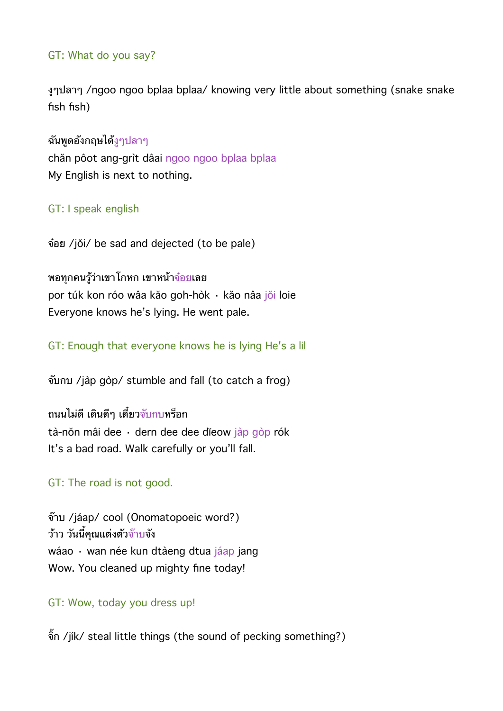## GT: What do you say?

งๆปลาๆ /ngoo ngoo bplaa bplaa/ knowing very little about something (snake snake fish fish)

ฉันพูดอังกฤษได้งูๆปลาๆ chăn pôot ang-grìt dâai ngoo ngoo bplaa bplaa My English is next to nothing.

## GT: I speak english

จอย /jŏi/ be sad and dejected (to be pale)

พอทุกคนรู้ว่าเขาโกหก เขาหน้าจ๋อยเลย por túk kon róo wâa kăo goh-hòk · kăo nâa jŏi loie Everyone knows he's lying. He went pale.

GT: Enough that everyone knows he is lying He's a lil

จบกบ /jàp gòp/ stumble and fall (to catch a frog)

้ถนนไม่ดี เดินดีๆ เดี๋ยวจับกบหร็อก tà-nŏn mâi dee · dern dee dee dĭeow jàp gòp rók It's a bad road. Walk carefully or you'll fall.

GT: The road is not good.

จ๊าบ /jáap/ cool (Onomatopoeic word?) ้ว้าว วันนี้คุณแต่งตัว<mark>จ๊าบจั</mark>ง wáao · wan née kun dtàeng dtua jáap jang Wow. You cleaned up mighty fine today!

GT: Wow, today you dress up!

จิ๊ก /jík/ steal little things (the sound of pecking something?)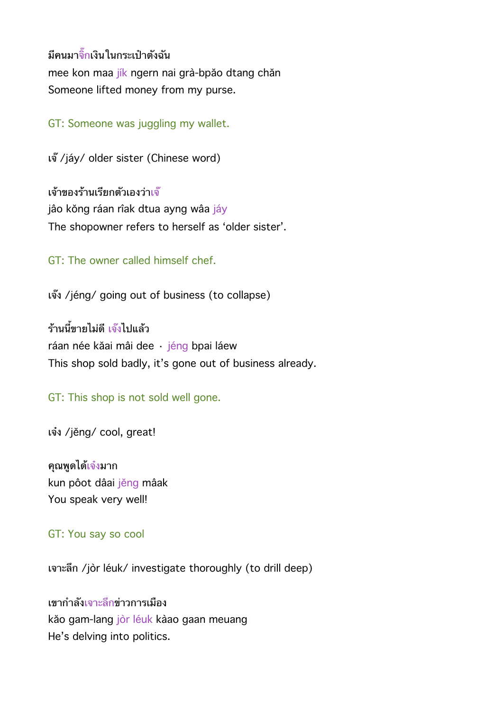่มีคนมาจิ๊กเงินในกระเป๋าตังฉัน mee kon maa jík ngern nai grà-bpăo dtang chăn Someone lifted money from my purse.

GT: Someone was juggling my wallet.

เจ /jáy/ older sister (Chinese word)

เจ้าของร้านเรียกตัวเองว่าเจ๊ jâo kŏng ráan rîak dtua ayng wâa jáy The shopowner refers to herself as 'older sister'.

GT: The owner called himself chef.

เจง /jéng/ going out of business (to collapse)

้ร้านนี้ขายไม่ดี เ<mark>จ๊ง</mark>ไปแล้ว ráan née kăai mâi dee · jéng bpai láew This shop sold badly, it's gone out of business already.

GT: This shop is not sold well gone.

เจง /jĕng/ cool, great!

้คุณพูดได้เจ๋งมาก kun pôot dâai jĕng mâak You speak very well!

#### GT: You say so cool

เจาะลก /jòr léuk/ investigate thoroughly (to drill deep)

เขากำลังเ<mark>จ</mark>าะลึกข่าวการเมือง kăo gam-lang jòr léuk kàao gaan meuang He's delving into politics.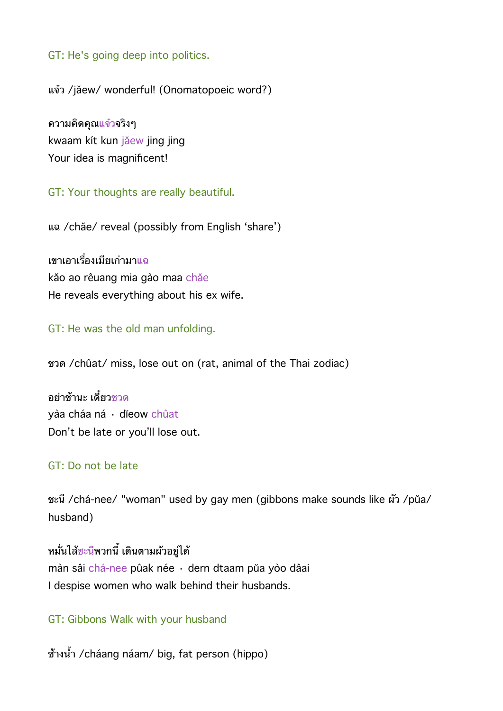GT: He's going deep into politics.

แจว /jăew/ wonderful! (Onomatopoeic word?)

ความคดคณแจวจรงๆ kwaam kít kun jăew jing jing Your idea is magnificent!

GT: Your thoughts are really beautiful.

แฉ /chăe/ reveal (possibly from English 'share')

ี<br>เขาเอาเรื่องเมียเก่ามาแฉ kăo ao rêuang mia gào maa chăe He reveals everything about his ex wife.

GT: He was the old man unfolding.

ชวด /chûat/ miss, lose out on (rat, animal of the Thai zodiac)

อย่าช้านะ เดี๋ยว<u>ชวด</u> yàa cháa ná · dĭeow chûat Don't be late or you'll lose out.

#### GT: Do not be late

ชะนี /chá-nee/ "woman" used by gay men (gibbons make sounds like ผัว /pŭa/ husband)

หมั่นไส้ชะนีพวกนี้ เดินตามผัวอย่ได้ màn sâi chá-nee pûak née · dern dtaam pŭa yòo dâai I despise women who walk behind their husbands.

#### GT: Gibbons Walk with your husband

ช้างน้ำ /cháang náam/ big, fat person (hippo)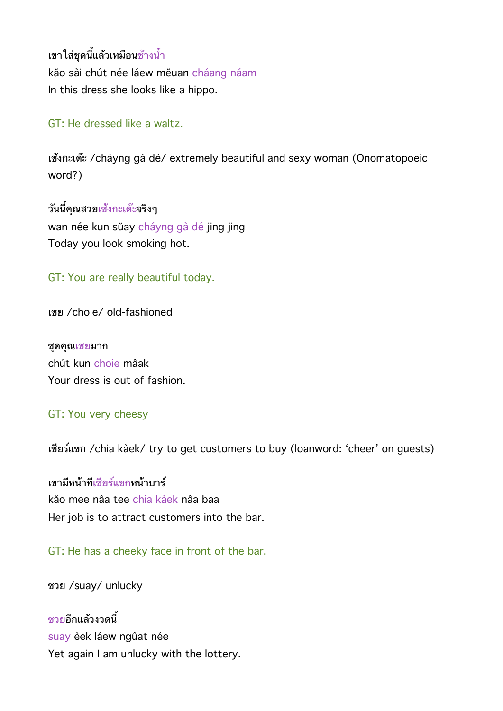เขาใส่ชุดนี้แล้วเหมือนช้างน้ำ kăo sài chút née láew měuan cháang náam In this dress she looks like a hippo.

## GT: He dressed like a waltz.

เช้งกะเด๊ะ /cháyng gà dé/ extremely beautiful and sexy woman (Onomatopoeic word?)

วันนี้คุณสวยเช้งกะเด๊ะจริงๆ wan née kun sŭay cháyng gà dé jing jing Today you look smoking hot.

## GT: You are really beautiful today.

เชย /choie/ old-fashioned

ชดคณเชยมาก chút kun choie mâak Your dress is out of fashion.

#### GT: You very cheesy

เชียร์แขก /chia kàek/ try to get customers to buy (loanword: 'cheer' on guests)

เขามีหน้าที่เชียร์แ<mark>ขกหน้าบาร์</mark> kăo mee nâa tee chia kàek nâa baa Her job is to attract customers into the bar.

GT: He has a cheeky face in front of the bar.

ซวย /suay/ unlucky

ซวยอีกแล้วงวดบี้ suay èek láew ngûat née Yet again I am unlucky with the lottery.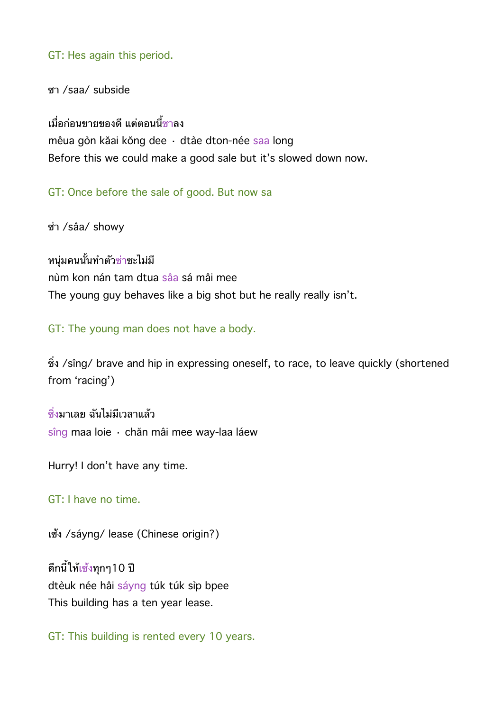GT: Hes again this period.

ซา /saa/ subside

้เมื่อก่อนขายของดี แต่ตอนนี้<mark>ซาลง</mark> mêua gòn kăai kŏng dee · dtàe dton-née saa long Before this we could make a good sale but it's slowed down now.

GT: Once before the sale of good. But now sa

ซา /sâa/ showy

หน่มคนนั้นทำตัวช่าชะไม่มี nùm kon nán tam dtua sâa sá mâi mee The young guy behaves like a big shot but he really really isn't.

GT: The young man does not have a body.

ซึ่ง /sîng/ brave and hip in expressing oneself, to race, to leave quickly (shortened from 'racing')

์ซึ่งมาเลย ฉันไม่มีเวลาแล้ว sîng maa loie · chăn mâi mee way-laa láew

Hurry! I don't have any time.

GT: I have no time.

เซ้ง /sáyng/ lease (Chinese origin?)

้ตึกนี้ให้เ<u>ซ้</u>งทกๆ10 ปี dtèuk née hâi sáyng túk túk sìp bpee This building has a ten year lease.

GT: This building is rented every 10 years.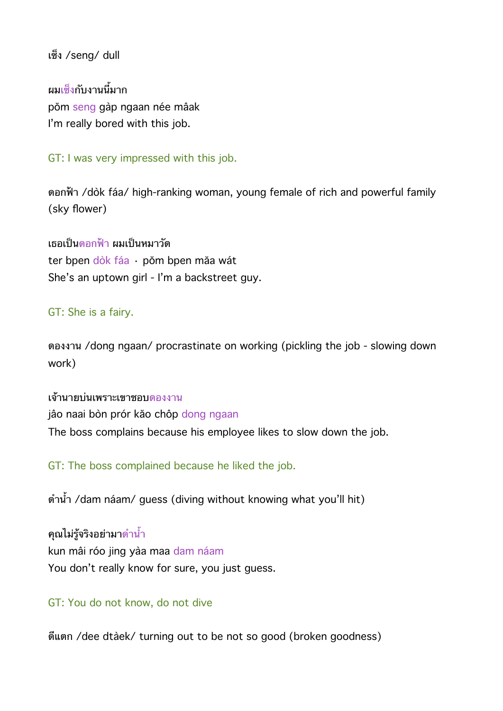เซง /seng/ dull

ผมเ<mark>ซ</mark>็งกับงานนี้มาก pŏm seng gàp ngaan née mâak I'm really bored with this job.

GT: I was very impressed with this job.

ดอกฟา /dòk fáa/ high-ranking woman, young female of rich and powerful family (sky flower)

้เธอเป็น<u>ดอกฟ้า</u> ผมเป็นหมาวัด ter bpen dòk fáa · pŏm bpen măa wát She's an uptown girl - I'm a backstreet guy.

## GT: She is a fairy.

ดองงาน /dong ngaan/ procrastinate on working (pickling the job - slowing down work)

เจานายบนเพราะเขาชอบดองงาน jâo naai bòn prór kăo chôp dong ngaan The boss complains because his employee likes to slow down the job.

GT: The boss complained because he liked the job.

ดำน้ำ /dam náam/ guess (diving without knowing what you'll hit)

คุณไม่รู้จริงอย่ามา<mark>ด</mark>ำน้ำ kun mâi róo jing yàa maa dam náam You don't really know for sure, you just guess.

## GT: You do not know, do not dive

ดีแตก /dee dtàek/ turning out to be not so good (broken goodness)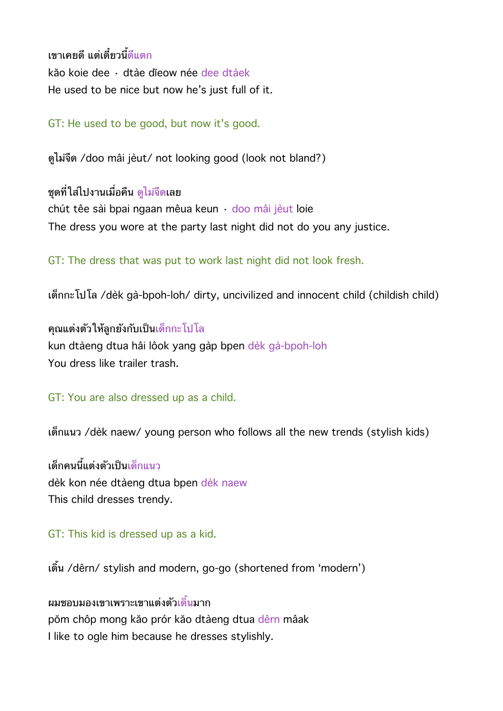เขาเคยดี แต่เดี๋ยวบี้ดีแตก kăo koie dee · dtàe dĭeow née dee dtàek He used to be nice but now he's just full of it.

GT: He used to be good, but now it's good.

ดไมจด /doo mâi jèut/ not looking good (look not bland?)

ิชดที่ใส่ไปงานเมื่อคืน ดไม่จืดเลย chút têe sài bpai ngaan mêua keun · doo mâi jèut loie The dress you wore at the party last night did not do you any justice.

GT: The dress that was put to work last night did not look fresh.

เดกกะโปโล /dèk gà-bpoh-loh/ dirty, uncivilized and innocent child (childish child)

คณแตงตวใหลกยงกบเปนเดกกะโปโล kun dtàeng dtua hâi lôok yang gàp bpen dèk gà-bpoh-loh You dress like trailer trash.

GT: You are also dressed up as a child.

เดกแนว /dèk naew/ young person who follows all the new trends (stylish kids)

้เด็กคนนี้แต่งตัวเป็นเด็กแนว dèk kon née dtàeng dtua bpen dèk naew This child dresses trendy.

GT: This kid is dressed up as a kid.

เดน /dêrn/ stylish and modern, go-go (shortened from 'modern')

ผมชอบมองเขาเพราะเขาแต่งตัวเดิ้นมาก pŏm chôp mong kăo prór kăo dtàeng dtua dêrn mâak I like to ogle him because he dresses stylishly.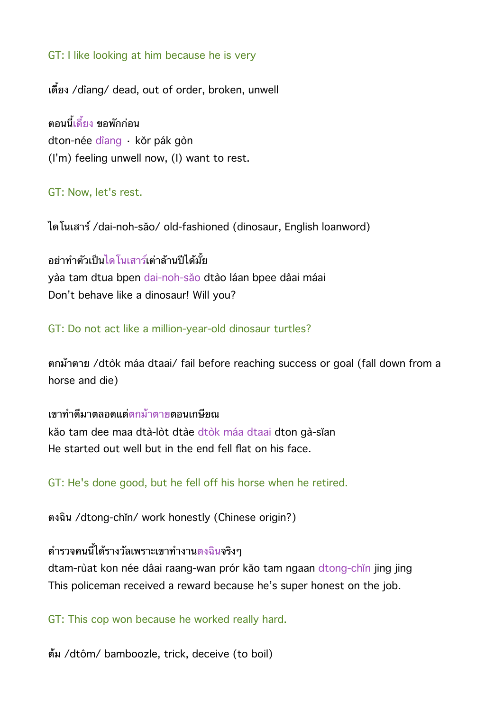## GT: I like looking at him because he is very

เดี๋ยง /dîang/ dead, out of order, broken, unwell

ตอนนี้เดี๋ยง ขอพักก่อน dton-née dîang · kŏr pák gòn (I'm) feeling unwell now, (I) want to rest.

#### GT: Now, let's rest.

ไดโนเสาร /dai-noh-săo/ old-fashioned (dinosaur, English loanword)

อย่าทำตัวเป็นไดโนเสาร์เต่าล้านปีได้มั้ย yàa tam dtua bpen dai-noh-săo dtào láan bpee dâai máai Don't behave like a dinosaur! Will you?

#### GT: Do not act like a million-year-old dinosaur turtles?

ตกมาตาย /dtòk máa dtaai/ fail before reaching success or goal (fall down from a horse and die)

เขาทำดีมาตลอดแต่ตกม้าตายตอนเกษียณ kăo tam dee maa dtà-lòt dtàe dtòk máa dtaai dton gà-sĭan He started out well but in the end fell flat on his face.

GT: He's done good, but he fell off his horse when he retired.

ตงฉน /dtong-chĭn/ work honestly (Chinese origin?)

# ตำรวจคนนี้ได้รางวัลเพราะเขาทำงานตงฉินจริงๆ

dtam-rùat kon née dâai raang-wan prór kăo tam ngaan dtong-chĭn jing jing This policeman received a reward because he's super honest on the job.

GT: This cop won because he worked really hard.

ตม /dtôm/ bamboozle, trick, deceive (to boil)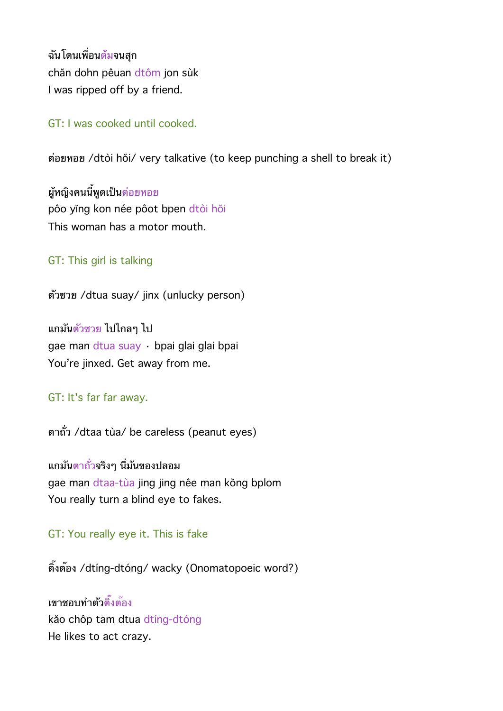ฉันโดนเพื่อนต้มจนสก chăn dohn pêuan dtôm jon sùk I was ripped off by a friend.

GT: I was cooked until cooked.

ตอยหอย /dtòi hŏi/ very talkative (to keep punching a shell to break it)

ผู้หญิงคนนี้พูดเป็นต่อยหอย pôo yǐng kon née pôot bpen dtòi hŏi This woman has a motor mouth.

GT: This girl is talking

ตวซวย /dtua suay/ jinx (unlucky person)

แกมนตวซวย ไปไกลๆ ไป gae man dtua suay · bpai glai glai bpai You're jinxed. Get away from me.

GT: It's far far away.

ตาถว /dtaa tùa/ be careless (peanut eyes)

แกมนตาถวจรงๆ นมนของปลอม gae man dtaa-tùa jing jing nêe man kŏng bplom You really turn a blind eye to fakes.

GT: You really eye it. This is fake

ติ๊งต*้*อง /dtíng-dtóng/ wacky (Onomatopoeic word?)

เขาชอบทำตัวติ้งต้อง kăo chôp tam dtua dtíng-dtóng He likes to act crazy.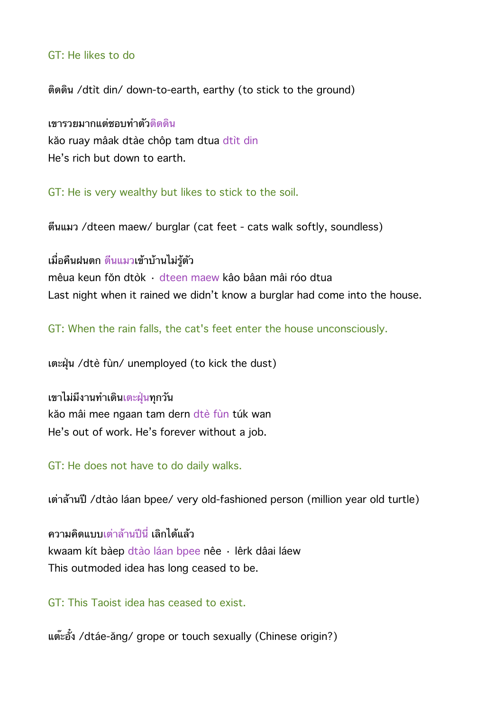#### GT: He likes to do

ตดดน /dtìt din/ down-to-earth, earthy (to stick to the ground)

เขารวยมากแต่ชอบทำตัวติดดิน kăo ruay mâak dtàe chôp tam dtua dtìt din He's rich but down to earth.

GT: He is very wealthy but likes to stick to the soil.

ตนแมว /dteen maew/ burglar (cat feet - cats walk softly, soundless)

้เมื่อคืนฝนตก ตื่นแมวเข้าบ้านไม่ร*ั*ตัว

mêua keun fŏn dtòk · dteen maew kâo bâan mâi róo dtua Last night when it rained we didn't know a burglar had come into the house.

GT: When the rain falls, the cat's feet enter the house unconsciously.

เตะฝน /dtè fùn/ unemployed (to kick the dust)

ี่ เขาไม่มีงานทำเดินเตะฝุ่นทุกว*ั*น kăo mâi mee ngaan tam dern dtè fùn túk wan He's out of work. He's forever without a job.

GT: He does not have to do daily walks.

เตาลานป /dtào láan bpee/ very old-fashioned person (million year old turtle)

ความคิดแบบเต่าล้านปีนี่ เลิกได้แล้ว kwaam kít bàep dtào láan bpee nêe · lêrk dâai láew This outmoded idea has long ceased to be.

GT: This Taoist idea has ceased to exist.

แต๊ะอั๋ง /dtáe-ăng/ grope or touch sexually (Chinese origin?)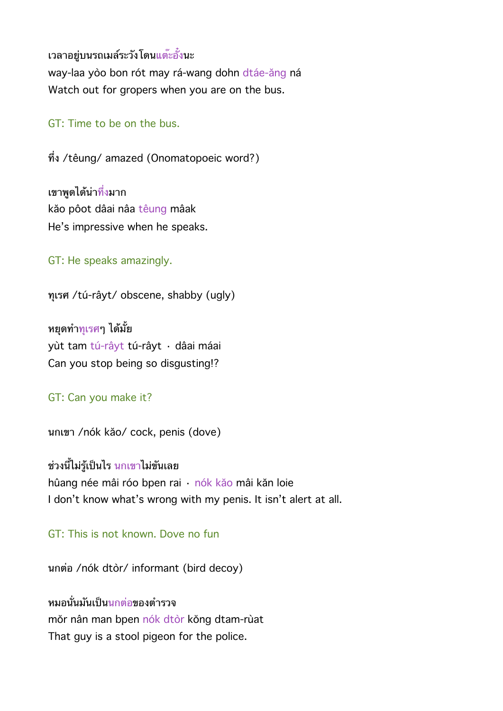เวลาอยู่บนรถเมล์ระวังโดนแต๊ะอั้งนะ

way-laa yòo bon rót may rá-wang dohn dtáe-ăng ná Watch out for gropers when you are on the bus.

## GT: Time to be on the bus.

ทง /têung/ amazed (Onomatopoeic word?)

เขาพดได้น่าทึ่งมาก kăo pôot dâai nâa têung mâak He's impressive when he speaks.

GT: He speaks amazingly.

ทเรศ /tú-râyt/ obscene, shabby (ugly)

หยดท<del>ำทเรศ</del>ๆ ได้มั้ย yùt tam tú-râyt tú-râyt · dâai máai Can you stop being so disgusting!?

## GT: Can you make it?

นกเขา /nók kăo/ cock, penis (dove)

ี่ ช่วงนี้ไม่รู้เป็นไร นกเขาไม่ขันเลย hûang née mâi róo bpen rai · nók kăo mâi kăn loie I don't know what's wrong with my penis. It isn't alert at all.

GT: This is not known. Dove no fun

นกตอ /nók dtòr/ informant (bird decoy)

หมอนั่นมันเป็นนกต่อของตำรวจ mŏr nân man bpen nók dtòr kŏng dtam-rùat That guy is a stool pigeon for the police.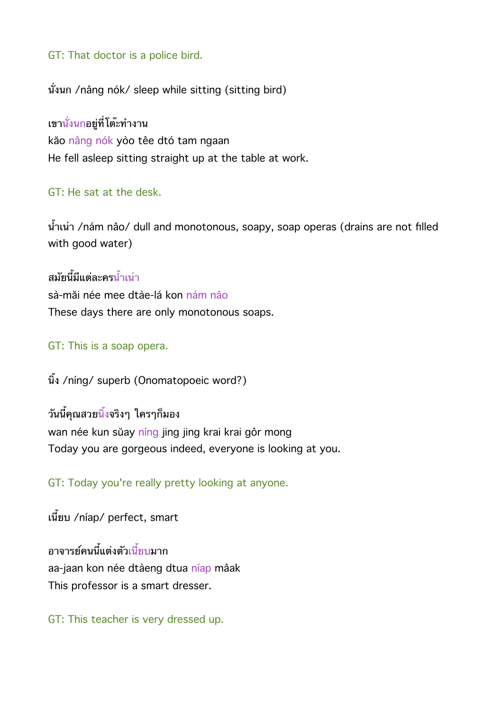GT: That doctor is a police bird.

นั่งนก /nâng nók/ sleep while sitting (sitting bird)

เขานั่งนกอยู่ที่โต*๊*ะทำงาน kăo nâng nók yòo têe dtó tam ngaan He fell asleep sitting straight up at the table at work.

## GT: He sat at the desk.

น้ำเน่า /nám nâo/ dull and monotonous, soapy, soap operas (drains are not filled with good water)

สมัยนี้มีแต่ละครน้ำเน่า sà-măi née mee dtàe-lá kon nám nâo These days there are only monotonous soaps.

#### GT: This is a soap opera.

นิ้ง /níng/ superb (Onomatopoeic word?)

้วันนี้คณสวยนิ้งจริงๆ ใครๆก็มอง

wan née kun sŭay níng jing jing krai krai gôr mong Today you are gorgeous indeed, everyone is looking at you.

GT: Today you're really pretty looking at anyone.

เนี้ยบ /níap/ perfect, smart

อาจารย์คนนี้แต่งตัวเนี้ยบมาก aa-jaan kon née dtàeng dtua níap mâak This professor is a smart dresser.

GT: This teacher is very dressed up.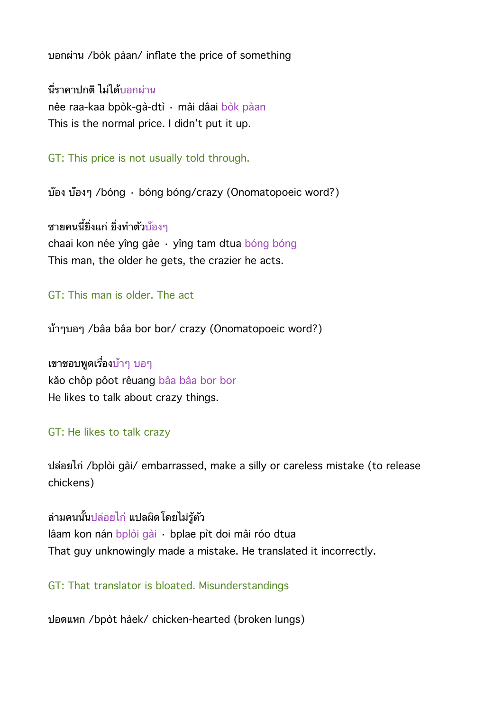บอกผาน /bòk pàan/ inflate the price of something

ี่นี่ราคาปกติ ไม่ได้บอกผ่าน nêe raa-kaa bpòk-gà-dtì · mâi dâai bòk pàan This is the normal price. I didn't put it up.

GT: This price is not usually told through.

บ๊อง บ๊องๆ /bóng · bóng bóng/crazy (Onomatopoeic word?)

ิชายคนนี้ยิ่งแก่ ยิ่งทำตัวบ๊องๆ chaai kon née yîng gàe · yîng tam dtua bóng bóng This man, the older he gets, the crazier he acts.

GT: This man is older. The act

บ้าๆบอๆ /bâa bâa bor bor/ crazy (Onomatopoeic word?)

เขาชอบพูดเรื่องบ้าๆ บอๆ kăo chôp pôot rêuang bâa bâa bor bor He likes to talk about crazy things.

#### GT: He likes to talk crazy

ปลอยไก /bplòi gài/ embarrassed, make a silly or careless mistake (to release chickens)

ล่ามคนนั้น<u>ปล่อยไก่</u> แปลผิดโดยไม่ร้ตัว lâam kon nán bplòi gài · bplae pìt doi mâi róo dtua That guy unknowingly made a mistake. He translated it incorrectly.

GT: That translator is bloated. Misunderstandings

ปอดแหก /bpòt hàek/ chicken-hearted (broken lungs)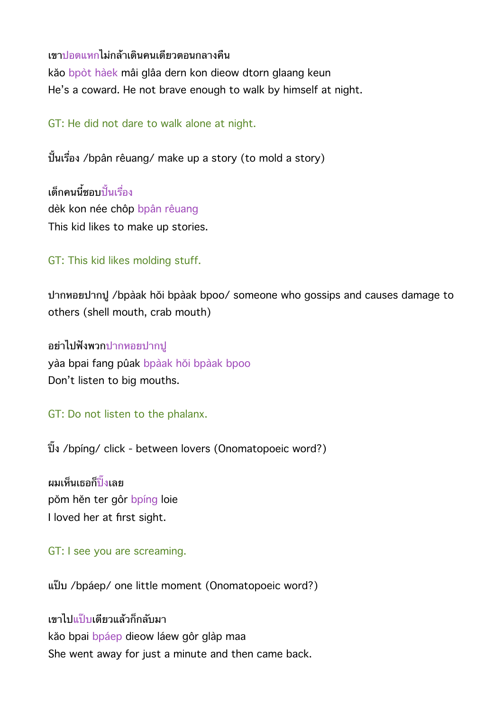เขาปอดแหกไมกลาเดนคนเดยวตอนกลางคน kăo bpòt hàek mâi glâa dern kon dieow dtorn glaang keun He's a coward. He not brave enough to walk by himself at night.

GT: He did not dare to walk alone at night.

ปั้นเรื่อง /bpân rêuang/ make up a story (to mold a story)

้เด็กคบบี้ชอบปั้นเรื่อง dèk kon née chôp bpân rêuang This kid likes to make up stories.

GT: This kid likes molding stuff.

ปากหอยปากป /bpàak hŏi bpàak bpoo/ someone who gossips and causes damage to others (shell mouth, crab mouth)

อยาไปฟงพวกปากหอยปากป yàa bpai fang pûak bpàak hŏi bpàak bpoo Don't listen to big mouths.

GT: Do not listen to the phalanx.

ปง /bpíng/ click - between lovers (Onomatopoeic word?)

ผมเห็นเธอก็<mark>ปั</mark>้งเลย pŏm hĕn ter gôr bpíng loie I loved her at first sight.

GT: I see you are screaming.

แปบ /bpáep/ one little moment (Onomatopoeic word?)

เขาไปแปบเดยวแลวกกลบมา kăo bpai bpáep dieow láew gôr glàp maa She went away for just a minute and then came back.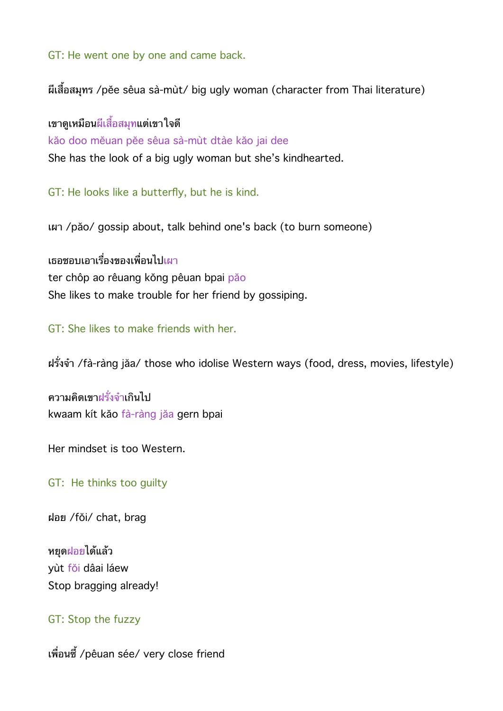GT: He went one by one and came back.

ผเสอสมทร /pĕe sêua sà-mùt/ big ugly woman (character from Thai literature)

เขาดเหมอนผเสอสมทแตเขาใจด kăo doo mĕuan pĕe sêua sà-mùt dtàe kăo jai dee She has the look of a big ugly woman but she's kindhearted.

GT: He looks like a butterfly, but he is kind.

เผา /păo/ gossip about, talk behind one's back (to burn someone)

เธอชอบเอาเรื่องของเพื่อนไปเผา ter chôp ao rêuang kŏng pêuan bpai păo She likes to make trouble for her friend by gossiping.

GT: She likes to make friends with her.

ฝรงจา /fà-ràng jăa/ those who idolise Western ways (food, dress, movies, lifestyle)

ความคิดเขาฝรั่งจำเกินไป kwaam kít kăo fà-ràng jăa gern bpai

Her mindset is too Western.

GT: He thinks too guilty

ฝอย /fŏi/ chat, brag

หยดฝอยไดแลว yùt fŏi dâai láew Stop bragging already!

### GT: Stop the fuzzy

เพื่อนซี้ /pêuan sée/ very close friend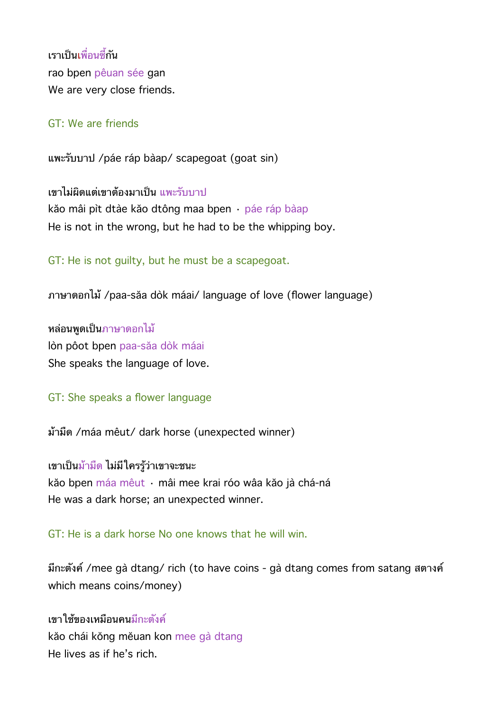เราเป็นเพื่อนซี้กับ rao bpen pêuan sée gan We are very close friends.

#### GT: We are friends

แพะรบบาป /páe ráp bàap/ scapegoat (goat sin)

เขาไม่ผิดแต่เขาต้องมาเป็น แพะรับบาป kăo mâi pìt dtàe kăo dtông maa bpen · páe ráp bàap He is not in the wrong, but he had to be the whipping boy.

GT: He is not guilty, but he must be a scapegoat.

ภาษาดอกไม้ /paa-săa dòk máai/ language of love (flower language)

หลอนพดเปนภาษาดอกไม lòn pôot bpen paa-săa dòk máai She speaks the language of love.

GT: She speaks a flower language

มามด /máa mêut/ dark horse (unexpected winner)

เขาเปนมามด ไมมใครรวาเขาจะชนะ kăo bpen máa mêut · mâi mee krai róo wâa kăo jà chá-ná He was a dark horse; an unexpected winner.

GT: He is a dark horse No one knows that he will win.

มีกะตังค์ /mee gà dtang/ rich (to have coins - gà dtang comes from satang สตางค์ which means coins/money)

เขาใช้ของเหมือนคนมีกะตังค์ kăo chái kŏng mĕuan kon mee gà dtang He lives as if he's rich.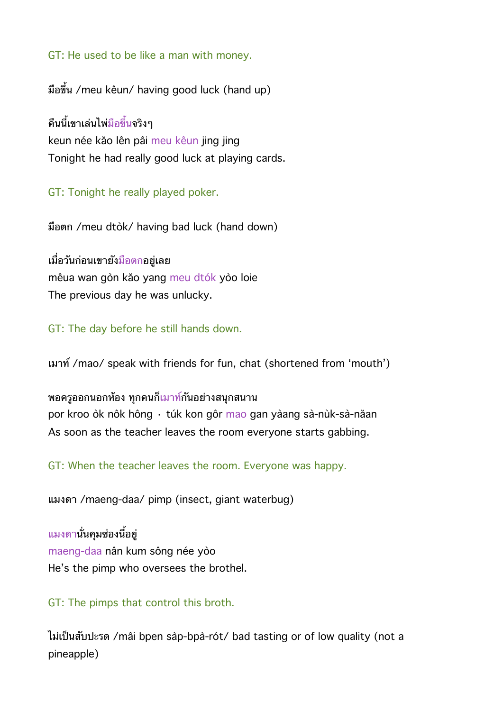GT: He used to be like a man with money.

มือขึ้น /meu kêun/ having good luck (hand up)

์คืนนี้เขาเล่นไพ่<mark>มือขึ</mark>้นจริงๆ keun née kăo lên pâi meu kêun jing jing Tonight he had really good luck at playing cards.

GT: Tonight he really played poker.

มอตก /meu dtòk/ having bad luck (hand down)

เมอวนกอนเขายงมอตกอยเลย mêua wan gòn kăo yang meu dtók yòo loie The previous day he was unlucky.

GT: The day before he still hands down.

เมาท /mao/ speak with friends for fun, chat (shortened from 'mouth')

ี พอครูออกนอกห้อง ทุกคนก็เมาท์กันอย่างสนุกสนาน por kroo òk nôk hông · túk kon gôr mao gan yàang sà-nùk-sà-năan As soon as the teacher leaves the room everyone starts gabbing.

GT: When the teacher leaves the room. Everyone was happy.

แมงดา /maeng-daa/ pimp (insect, giant waterbug)

<u>แมงดา</u>นั่นคุมซ่องนี้อยู่ maeng-daa nân kum sông née yòo He's the pimp who oversees the brothel.

#### GT: The pimps that control this broth.

ไมเปนสบปะรด /mâi bpen sàp-bpà-rót/ bad tasting or of low quality (not a pineapple)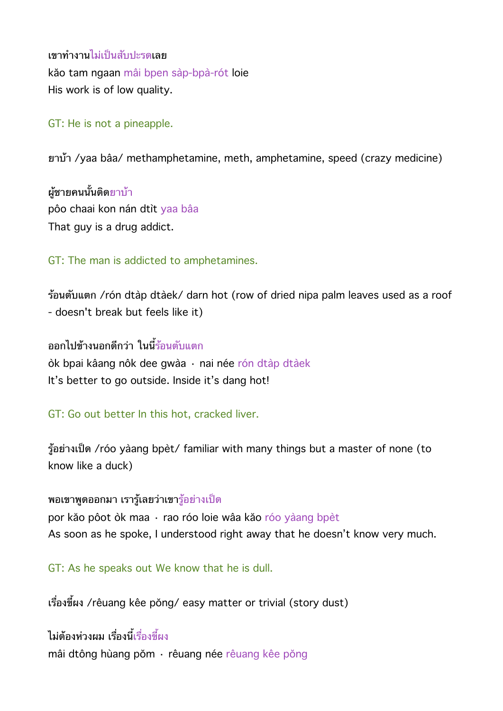เขาทงานไมเปนสบปะรดเลย kăo tam ngaan mâi bpen sàp-bpà-rót loie His work is of low quality.

### GT: He is not a pineapple.

ยาบ้า /yaa bâa/ methamphetamine, meth, amphetamine, speed (crazy medicine)

ผ้ชายคนนั้นติดยาบ้า pôo chaai kon nán dtìt yaa bâa That guy is a drug addict.

GT: The man is addicted to amphetamines.

รอนตบแตก /rón dtàp dtàek/ darn hot (row of dried nipa palm leaves used as a roof - doesn't break but feels like it)

ืออกไปข้างนอกดีกว่า ในนี้ร้อนตับแตก òk bpai kâang nôk dee gwàa · nai née rón dtàp dtàek It's better to go outside. Inside it's dang hot!

GT: Go out better In this hot, cracked liver.

รอยางเปด /róo yàang bpèt/ familiar with many things but a master of none (to know like a duck)

ิพอเขาพูดออกมา เรารู้เลยว่าเขารู้อย่างเป็ด

por kăo pôot òk maa · rao róo loie wâa kăo róo yàang bpèt As soon as he spoke, I understood right away that he doesn't know very much.

GT: As he speaks out We know that he is dull.

เรื่องขี้ผง /rêuang kêe pŏng/ easy matter or trivial (story dust)

ไม่ต้องห่วงผม เรื่องบี้เรื่องขี้ผง mâi dtông hùang pŏm · rêuang née rêuang kêe pŏng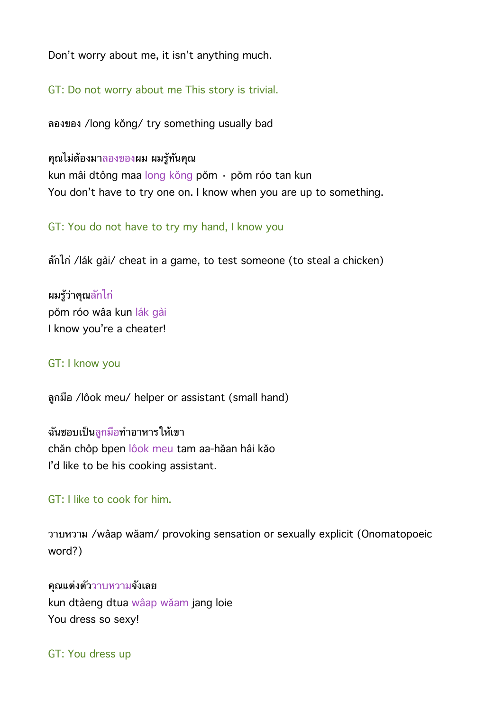Don't worry about me, it isn't anything much.

GT: Do not worry about me This story is trivial.

ลองของ /long kŏng/ try something usually bad

## คณไมตองมาลองของผม ผมรทนคณ

kun mâi dtông maa long kŏng pŏm · pŏm róo tan kun You don't have to try one on. I know when you are up to something.

GT: You do not have to try my hand, I know you

ลกไก /lák gài/ cheat in a game, to test someone (to steal a chicken)

ผมรวาคณลกไก pŏm róo wâa kun lák gài I know you're a cheater!

## GT: I know you

ลกมอ /lôok meu/ helper or assistant (small hand)

ฉันชอบเป็น<u>ลูกมือ</u>ทำอาหารให้เขา chăn chôp bpen lôok meu tam aa-hăan hâi kăo I'd like to be his cooking assistant.

## GT: I like to cook for him.

วาบหวาม /wâap wăam/ provoking sensation or sexually explicit (Onomatopoeic word?)

คุณแต่งตัววาบหวามจังเลย kun dtàeng dtua wâap wăam jang loie You dress so sexy!

GT: You dress up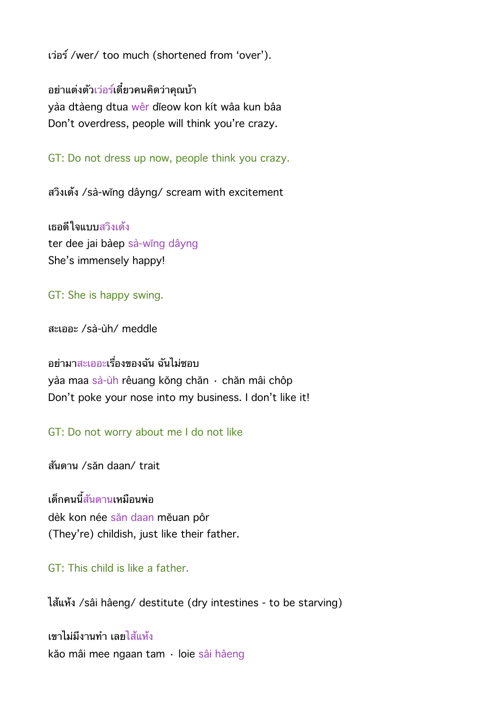เวอร /wer/ too much (shortened from 'over').

ือย่าแต่งตัวเว่อร์เดี๋ยวคนคิดว่าคุณบ้า yàa dtàeng dtua wêr dĭeow kon kít wâa kun bâa Don't overdress, people will think you're crazy.

GT: Do not dress up now, people think you crazy.

สวงเดง /sà-wĭng dâyng/ scream with excitement

เธอดใจแบบสวงเดง ter dee jai bàep sà-wĭng dâyng She's immensely happy!

## GT: She is happy swing.

สะเออะ /sà-ùh/ meddle

## ้อย่ามาสะเออะเรื่องของฉัน ฉันไม่ชอบ

yàa maa sà-ùh rêuang kŏng chăn · chăn mâi chôp Don't poke your nose into my business. I don't like it!

GT: Do not worry about me I do not like

สนดาน /săn daan/ trait

เด็กคนนี้สันดานเหมือนพ่อ dèk kon née săn daan mĕuan pôr (They're) childish, just like their father.

# GT: This child is like a father.

ไสแหง /sâi hâeng/ destitute (dry intestines - to be starving)

เขาไม่มีงานทำ เลยไส้แห้ง kăo mâi mee ngaan tam · loie sâi hâeng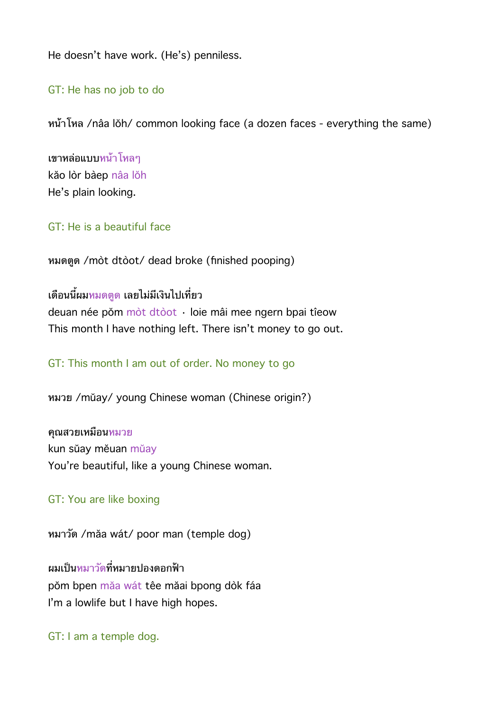He doesn't have work. (He's) penniless.

GT: He has no job to do

หนาโหล /nâa lŏh/ common looking face (a dozen faces - everything the same)

เขาหลอแบบหนาโหลๆ kăo lòr bàep nâa lŏh He's plain looking.

GT: He is a beautiful face

หมดตด /mòt dtòot/ dead broke (finished pooping)

้เดือนนี้ผมหมดตด เลยไม่มีเงินไปเที่ยว

deuan née pŏm mòt dtòot · loie mâi mee ngern bpai tîeow This month I have nothing left. There isn't money to go out.

GT: This month I am out of order. No money to go

หมวย /mŭay/ young Chinese woman (Chinese origin?)

คณสวยเหมอนหมวย kun sŭay mĕuan mŭay You're beautiful, like a young Chinese woman.

#### GT: You are like boxing

หมาวด /măa wát/ poor man (temple dog)

ผมเป็นหมาวัดที่หมายปองดอกฟ้า pŏm bpen măa wát têe măai bpong dòk fáa I'm a lowlife but I have high hopes.

GT: I am a temple dog.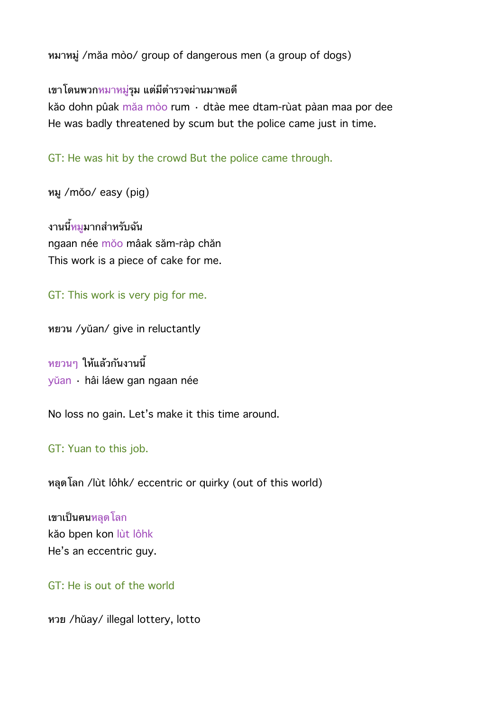หมาหมู่ /măa mòo/ group of dangerous men (a group of dogs)

## ี เขาโดนพวกหมาหมู่รุม แต่มีตำรวจผ่านมาพอดี

kăo dohn pûak măa mòo rum · dtàe mee dtam-rùat pàan maa por dee He was badly threatened by scum but the police came just in time.

GT: He was hit by the crowd But the police came through.

หม /mŏo/ easy (pig)

ึงานนี้<mark>หมู</mark>มากสำหรับฉัน ngaan née mŏo mâak săm-ràp chăn This work is a piece of cake for me.

GT: This work is very pig for me.

หยวน /yŭan/ give in reluctantly

หยวนๆ ใหแลวกนงานน yŭan · hâi láew gan ngaan née

No loss no gain. Let's make it this time around.

#### GT: Yuan to this job.

หลดโลก /lùt lôhk/ eccentric or quirky (out of this world)

เขาเปนคนหลดโลก kăo bpen kon lùt lôhk He's an eccentric guy.

GT: He is out of the world

หวย /hŭay/ illegal lottery, lotto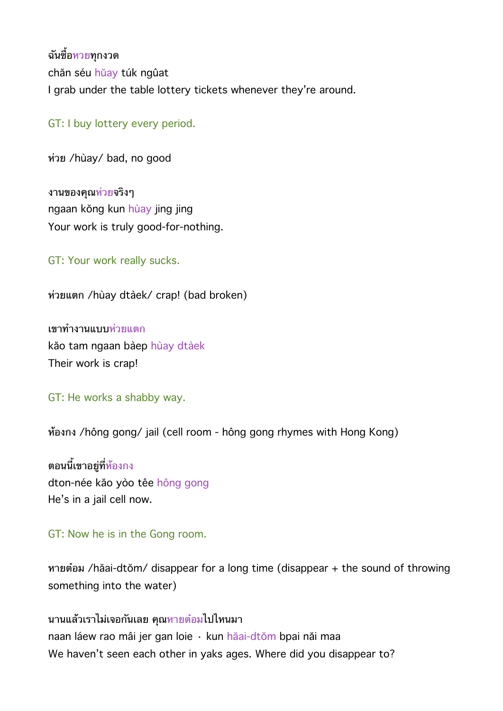ฉันซื้อหวยทกงวด chăn séu hŭay túk ngûat I grab under the table lottery tickets whenever they're around.

GT: I buy lottery every period.

หวย /hùay/ bad, no good

ึงานของคณ<mark>ห่วย</mark>จริงๆ ngaan kŏng kun hùay jing jing Your work is truly good-for-nothing.

GT: Your work really sucks.

หวยแตก /hùay dtàek/ crap! (bad broken)

เขาทงานแบบหวยแตก kăo tam ngaan bàep hùay dtàek Their work is crap!

GT: He works a shabby way.

หองกง /hông gong/ jail (cell room - hông gong rhymes with Hong Kong)

ตอนนี้เขาอยู่ที่<mark>ห้</mark>องกง dton-née kăo yòo têe hông gong He's in a jail cell now.

#### GT: Now he is in the Gong room.

หายตอม /hăai-dtŏm/ disappear for a long time (disappear + the sound of throwing something into the water)

นานแลวเราไมเจอกนเลย คณหายตอมไปไหนมา naan láew rao mâi jer gan loie · kun hăai-dtŏm bpai năi maa We haven't seen each other in yaks ages. Where did you disappear to?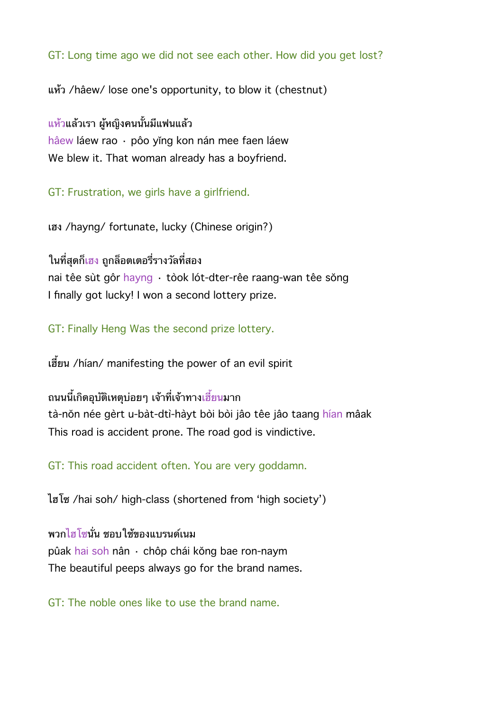GT: Long time ago we did not see each other. How did you get lost?

แหว /hâew/ lose one's opportunity, to blow it (chestnut)

ี<u>แห</u>้วแล้วเรา ผู้หญิงคนนั้นมีแฟนแล้ว hâew láew rao · pôo yĭng kon nán mee faen láew We blew it. That woman already has a boyfriend.

GT: Frustration, we girls have a girlfriend.

เฮง /hayng/ fortunate, lucky (Chinese origin?)

ในที่สดก็เฮง ถกล็อตเตอรี่รางวัลที่สอง

nai têe sùt gôr hayng · tòok lót-dter-rêe raang-wan têe sŏng I finally got lucky! I won a second lottery prize.

GT: Finally Heng Was the second prize lottery.

เฮี้ยน /hían/ manifesting the power of an evil spirit

ิถนนนี้เกิดอบัติเหตบ่อยๆ เจ้าที่เจ้าทางเฮี้ยนมาก tà-nŏn née gèrt u-bàt-dtì-hàyt bòi bòi jâo têe jâo taang hían mâak This road is accident prone. The road god is vindictive.

GT: This road accident often. You are very goddamn.

ไฮโซ /hai soh/ high-class (shortened from 'high society')

ี พวกไฮโซนั่น ชอบใช้ของแบรนด์เนม pûak hai soh nân · chôp chái kŏng bae ron-naym The beautiful peeps always go for the brand names.

GT: The noble ones like to use the brand name.